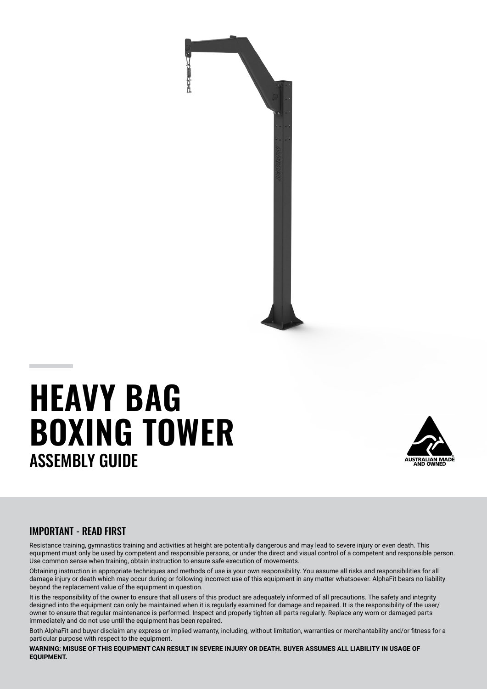

# **HEAVY BAG BOXING TOWER** ASSEMBLY GUIDE



### IMPORTANT - READ FIRST

Resistance training, gymnastics training and activities at height are potentially dangerous and may lead to severe injury or even death. This equipment must only be used by competent and responsible persons, or under the direct and visual control of a competent and responsible person. Use common sense when training, obtain instruction to ensure safe execution of movements.

Obtaining instruction in appropriate techniques and methods of use is your own responsibility. You assume all risks and responsibilities for all damage injury or death which may occur during or following incorrect use of this equipment in any matter whatsoever. AlphaFit bears no liability beyond the replacement value of the equipment in question.

It is the responsibility of the owner to ensure that all users of this product are adequately informed of all precautions. The safety and integrity designed into the equipment can only be maintained when it is regularly examined for damage and repaired. It is the responsibility of the user/ owner to ensure that regular maintenance is performed. Inspect and properly tighten all parts regularly. Replace any worn or damaged parts immediately and do not use until the equipment has been repaired.

Both AlphaFit and buyer disclaim any express or implied warranty, including, without limitation, warranties or merchantability and/or fitness for a particular purpose with respect to the equipment.

WARNING: MISUSE OF THIS EQUIPMENT CAN RESULT IN SEVERE INJURY OR DEATH. BUYER ASSUMES ALL LIABILITY IN USAGE OF **EQUIPMENT.**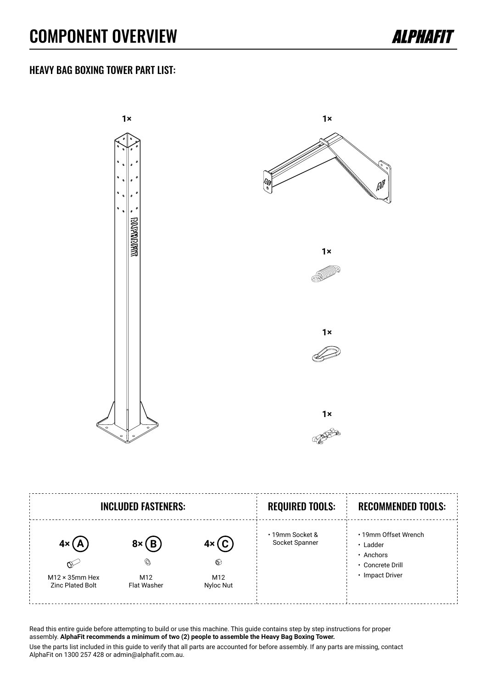### COMPONENT OVERVIEW



### HEAVY BAG BOXING TOWER PART LIST:



Read this entire guide before attempting to build or use this machine. This guide contains step by step instructions for proper assembly. **AlphaFit recommends a minimum of two (2) people to assemble the Heavy Bag Boxing Tower.** Use the parts list included in this guide to verify that all parts are accounted for before assembly. If any parts are missing, contact AlphaFit on 1300 257 428 or admin@alphafit.com.au.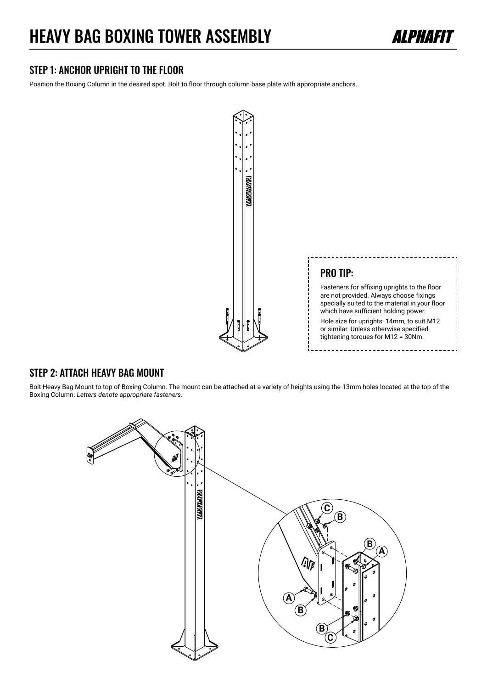## HEAVY BAG BOXING TOWER ASSEMBLY



### STEP 1: ANCHOR UPRIGHT TO THE FLOOR

Position the Boxing Column in the desired spot. Bolt to floor through column base plate with appropriate anchors.



#### STEP 2: ATTACH HEAVY BAG MOUNT

Bolt Heavy Bag Mount to top of Boxing Column. The mount can be attached at a variety of heights using the 13mm holes located at the top of the Boxing Column. *Letters denote appropriate fasteners.*